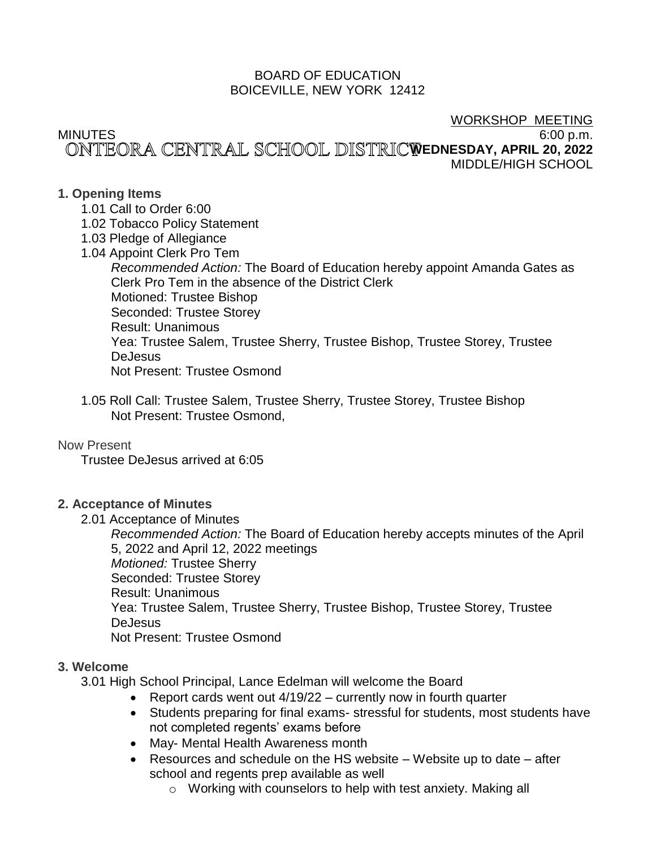## BOARD OF EDUCATION BOICEVILLE, NEW YORK 12412

## WORKSHOP MEETING

## MINUTES 6:00 p.m. ONTEORA CENTRAL SCHOOL DISTRICWEDNESDAY, APRIL 20, 2022 MIDDLE/HIGH SCHOOL

# **1. Opening Items**

- 1.01 Call to Order 6:00
- 1.02 Tobacco Policy Statement
- 1.03 Pledge of Allegiance
- 1.04 Appoint Clerk Pro Tem

*Recommended Action:* The Board of Education hereby appoint Amanda Gates as Clerk Pro Tem in the absence of the District Clerk Motioned: Trustee Bishop Seconded: Trustee Storey Result: Unanimous Yea: Trustee Salem, Trustee Sherry, Trustee Bishop, Trustee Storey, Trustee DeJesus Not Present: Trustee Osmond

1.05 Roll Call: Trustee Salem, Trustee Sherry, Trustee Storey, Trustee Bishop Not Present: Trustee Osmond,

# Now Present

Trustee DeJesus arrived at 6:05

# **2. Acceptance of Minutes**

2.01 Acceptance of Minutes

*Recommended Action:* The Board of Education hereby accepts minutes of the April 5, 2022 and April 12, 2022 meetings *Motioned:* Trustee Sherry Seconded: Trustee Storey Result: Unanimous Yea: Trustee Salem, Trustee Sherry, Trustee Bishop, Trustee Storey, Trustee **DeJesus** Not Present: Trustee Osmond

# **3. Welcome**

3.01 High School Principal, Lance Edelman will welcome the Board

- Report cards went out 4/19/22 currently now in fourth quarter
- Students preparing for final exams- stressful for students, most students have not completed regents' exams before
- May- Mental Health Awareness month
- Resources and schedule on the HS website Website up to date after school and regents prep available as well
	- o Working with counselors to help with test anxiety. Making all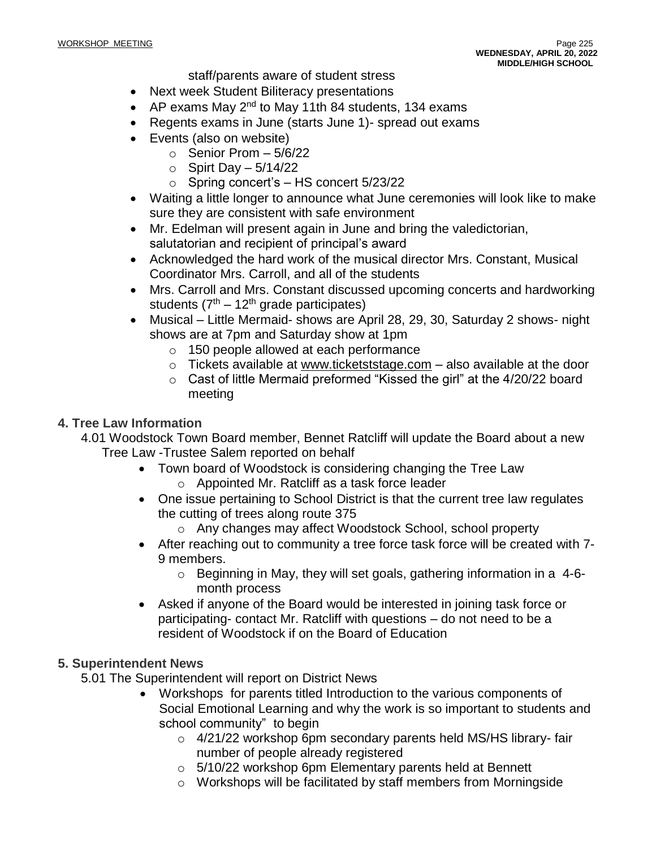staff/parents aware of student stress

- Next week Student Biliteracy presentations
- AP exams May  $2^{nd}$  to May 11th 84 students, 134 exams
- Regents exams in June (starts June 1)- spread out exams
- Events (also on website)
	- $\circ$  Senior Prom  $-5/6/22$ 
		- $\circ$  Spirt Day  $-5/14/22$
		- o Spring concert's HS concert 5/23/22
- Waiting a little longer to announce what June ceremonies will look like to make sure they are consistent with safe environment
- Mr. Edelman will present again in June and bring the valedictorian, salutatorian and recipient of principal's award
- Acknowledged the hard work of the musical director Mrs. Constant, Musical Coordinator Mrs. Carroll, and all of the students
- Mrs. Carroll and Mrs. Constant discussed upcoming concerts and hardworking students  $(7<sup>th</sup> - 12<sup>th</sup>$  grade participates)
- Musical Little Mermaid- shows are April 28, 29, 30, Saturday 2 shows- night shows are at 7pm and Saturday show at 1pm
	- o 150 people allowed at each performance
	- $\circ$  Tickets available at [www.ticketststage.com](http://www.ticketststage.com/) also available at the door
	- o Cast of little Mermaid preformed "Kissed the girl" at the 4/20/22 board meeting

## **4. Tree Law Information**

- 4.01 Woodstock Town Board member, Bennet Ratcliff will update the Board about a new Tree Law -Trustee Salem reported on behalf
	- Town board of Woodstock is considering changing the Tree Law
		- o Appointed Mr. Ratcliff as a task force leader
	- One issue pertaining to School District is that the current tree law regulates the cutting of trees along route 375
		- o Any changes may affect Woodstock School, school property
	- After reaching out to community a tree force task force will be created with 7- 9 members.
		- $\circ$  Beginning in May, they will set goals, gathering information in a 4-6month process
	- Asked if anyone of the Board would be interested in joining task force or participating- contact Mr. Ratcliff with questions – do not need to be a resident of Woodstock if on the Board of Education

## **5. Superintendent News**

5.01 The Superintendent will report on District News

- Workshops for parents titled Introduction to the various components of Social Emotional Learning and why the work is so important to students and school community" to begin
	- o 4/21/22 workshop 6pm secondary parents held MS/HS library- fair number of people already registered
	- o 5/10/22 workshop 6pm Elementary parents held at Bennett
	- o Workshops will be facilitated by staff members from Morningside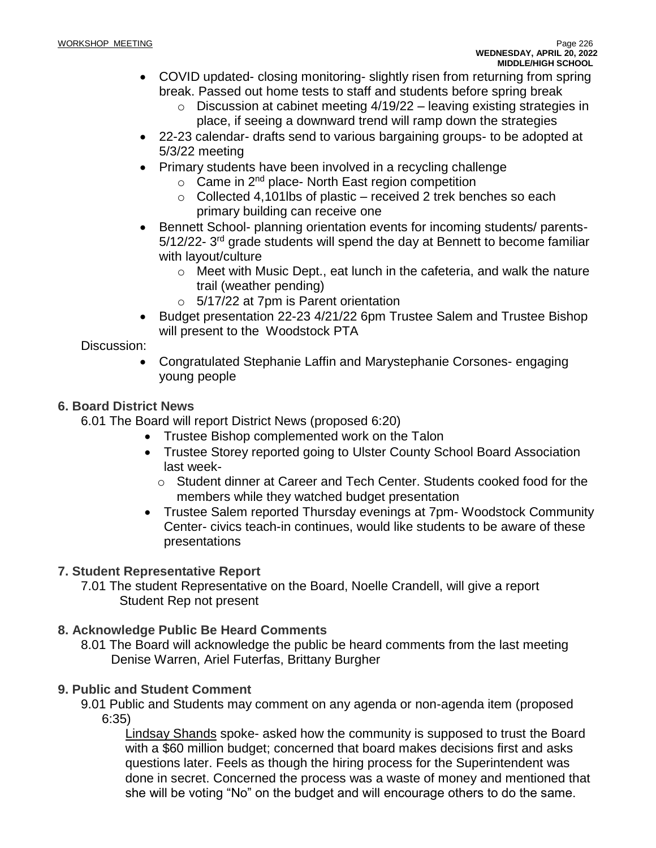- COVID updated- closing monitoring- slightly risen from returning from spring break. Passed out home tests to staff and students before spring break
	- $\circ$  Discussion at cabinet meeting 4/19/22 leaving existing strategies in place, if seeing a downward trend will ramp down the strategies
- 22-23 calendar- drafts send to various bargaining groups- to be adopted at 5/3/22 meeting
- Primary students have been involved in a recycling challenge
	- $\circ$  Came in 2<sup>nd</sup> place- North East region competition
	- $\circ$  Collected 4,101lbs of plastic received 2 trek benches so each primary building can receive one
- Bennett School- planning orientation events for incoming students/ parents-5/12/22- 3<sup>rd</sup> grade students will spend the day at Bennett to become familiar with layout/culture
	- o Meet with Music Dept., eat lunch in the cafeteria, and walk the nature trail (weather pending)
	- o 5/17/22 at 7pm is Parent orientation
- Budget presentation 22-23 4/21/22 6pm Trustee Salem and Trustee Bishop will present to the Woodstock PTA

# Discussion:

• Congratulated Stephanie Laffin and Marystephanie Corsones- engaging young people

# **6. Board District News**

6.01 The Board will report District News (proposed 6:20)

- Trustee Bishop complemented work on the Talon
	- Trustee Storey reported going to Ulster County School Board Association last week
		- o Student dinner at Career and Tech Center. Students cooked food for the members while they watched budget presentation
	- Trustee Salem reported Thursday evenings at 7pm- Woodstock Community Center- civics teach-in continues, would like students to be aware of these presentations

# **7. Student Representative Report**

7.01 The student Representative on the Board, Noelle Crandell, will give a report Student Rep not present

# **8. Acknowledge Public Be Heard Comments**

8.01 The Board will acknowledge the public be heard comments from the last meeting Denise Warren, Ariel Futerfas, Brittany Burgher

# **9. Public and Student Comment**

9.01 Public and Students may comment on any agenda or non-agenda item (proposed 6:35)

Lindsay Shands spoke- asked how the community is supposed to trust the Board with a \$60 million budget; concerned that board makes decisions first and asks questions later. Feels as though the hiring process for the Superintendent was done in secret. Concerned the process was a waste of money and mentioned that she will be voting "No" on the budget and will encourage others to do the same.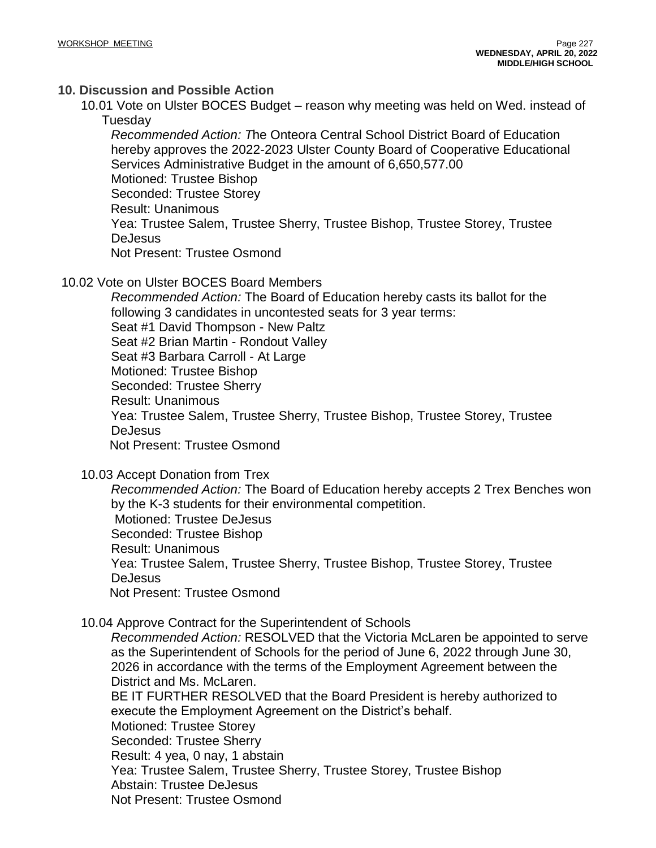# **10. Discussion and Possible Action**

10.01 Vote on Ulster BOCES Budget – reason why meeting was held on Wed. instead of Tuesday

*Recommended Action: T*he Onteora Central School District Board of Education hereby approves the 2022-2023 Ulster County Board of Cooperative Educational Services Administrative Budget in the amount of 6,650,577.00 Motioned: Trustee Bishop Seconded: Trustee Storey Result: Unanimous Yea: Trustee Salem, Trustee Sherry, Trustee Bishop, Trustee Storey, Trustee DeJesus Not Present: Trustee Osmond

10.02 Vote on Ulster BOCES Board Members

*Recommended Action:* The Board of Education hereby casts its ballot for the following 3 candidates in uncontested seats for 3 year terms: Seat #1 David Thompson - New Paltz Seat #2 Brian Martin - Rondout Valley Seat #3 Barbara Carroll - At Large Motioned: Trustee Bishop Seconded: Trustee Sherry Result: Unanimous Yea: Trustee Salem, Trustee Sherry, Trustee Bishop, Trustee Storey, Trustee DeJesus Not Present: Trustee Osmond

10.03 Accept Donation from Trex

*Recommended Action:* The Board of Education hereby accepts 2 Trex Benches won by the K-3 students for their environmental competition. Motioned: Trustee DeJesus Seconded: Trustee Bishop Result: Unanimous Yea: Trustee Salem, Trustee Sherry, Trustee Bishop, Trustee Storey, Trustee DeJesus Not Present: Trustee Osmond

10.04 Approve Contract for the Superintendent of Schools

*Recommended Action:* RESOLVED that the Victoria McLaren be appointed to serve as the Superintendent of Schools for the period of June 6, 2022 through June 30, 2026 in accordance with the terms of the Employment Agreement between the District and Ms. McLaren.

BE IT FURTHER RESOLVED that the Board President is hereby authorized to execute the Employment Agreement on the District's behalf.

Motioned: Trustee Storey

Seconded: Trustee Sherry

Result: 4 yea, 0 nay, 1 abstain

Yea: Trustee Salem, Trustee Sherry, Trustee Storey, Trustee Bishop

Abstain: Trustee DeJesus

Not Present: Trustee Osmond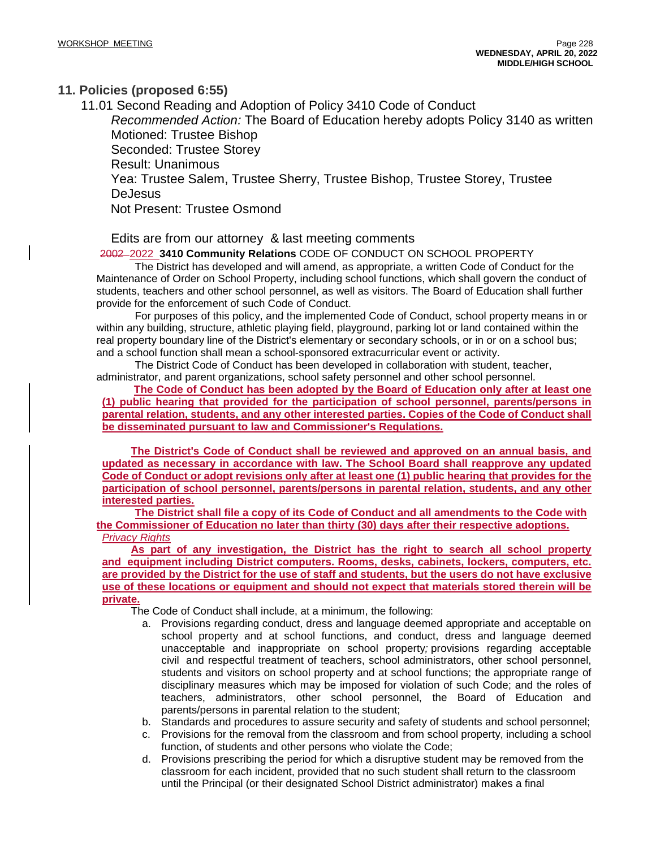## **11. Policies (proposed 6:55)**

11.01 Second Reading and Adoption of Policy 3410 Code of Conduct *Recommended Action:* The Board of Education hereby adopts Policy 3140 as written Motioned: Trustee Bishop Seconded: Trustee Storey Result: Unanimous Yea: Trustee Salem, Trustee Sherry, Trustee Bishop, Trustee Storey, Trustee **DeJesus** Not Present: Trustee Osmond

Edits are from our attorney & last meeting comments

## 2002 2022 **3410 Community Relations** CODE OF CONDUCT ON SCHOOL PROPERTY

The District has developed and will amend, as appropriate, a written Code of Conduct for the Maintenance of Order on School Property, including school functions, which shall govern the conduct of students, teachers and other school personnel, as well as visitors. The Board of Education shall further provide for the enforcement of such Code of Conduct.

For purposes of this policy, and the implemented Code of Conduct, school property means in or within any building, structure, athletic playing field, playground, parking lot or land contained within the real property boundary line of the District's elementary or secondary schools, or in or on a school bus; and a school function shall mean a school-sponsored extracurricular event or activity.

The District Code of Conduct has been developed in collaboration with student, teacher, administrator, and parent organizations, school safety personnel and other school personnel.

**The Code of Conduct has been adopted by the Board of Education only after at least one (1) public hearing that provided for the participation of school personnel, parents/persons in parental relation, students, and any other interested parties. Copies of the Code of Conduct shall be disseminated pursuant to law and Commissioner's Regulations.**

**The District's Code of Conduct shall be reviewed and approved on an annual basis, and updated as necessary in accordance with law. The School Board shall reapprove any updated** Code of Conduct or adopt revisions only after at least one (1) public hearing that provides for the **participation of school personnel, parents/persons in parental relation, students, and any other interested parties.**

**The District shall file a copy of its Code of Conduct and all amendments to the Code with the Commissioner of Education no later than thirty (30) days after their respective adoptions.** *Privacy Rights*

**As part of any investigation, the District has the right to search all school property and equipment including District computers. Rooms, desks, cabinets, lockers, computers, etc.** are provided by the District for the use of staff and students, but the users do not have exclusive **use of these locations or equipment and should not expect that materials stored therein will be private.**

The Code of Conduct shall include, at a minimum, the following:

- a. Provisions regarding conduct, dress and language deemed appropriate and acceptable on school property and at school functions, and conduct, dress and language deemed unacceptable and inappropriate on school property*;* provisions regarding acceptable civil and respectful treatment of teachers, school administrators, other school personnel, students and visitors on school property and at school functions; the appropriate range of disciplinary measures which may be imposed for violation of such Code; and the roles of teachers, administrators, other school personnel, the Board of Education and parents/persons in parental relation to the student;
- b. Standards and procedures to assure security and safety of students and school personnel;
- c. Provisions for the removal from the classroom and from school property, including a school function, of students and other persons who violate the Code;
- d. Provisions prescribing the period for which a disruptive student may be removed from the classroom for each incident, provided that no such student shall return to the classroom until the Principal (or their designated School District administrator) makes a final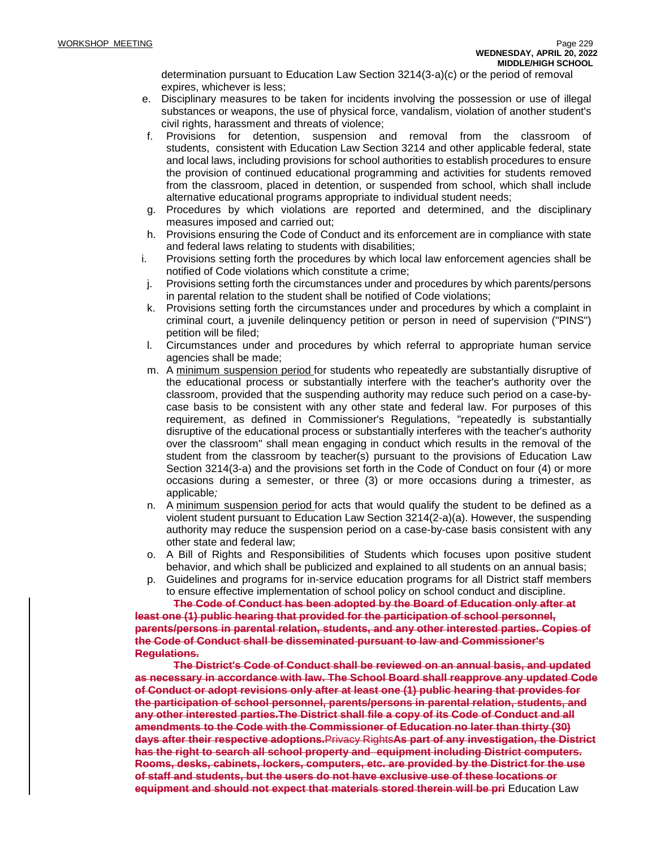determination pursuant to Education Law Section 3214(3-a)(c) or the period of removal expires, whichever is less;

- e. Disciplinary measures to be taken for incidents involving the possession or use of illegal substances or weapons, the use of physical force, vandalism, violation of another student's civil rights, harassment and threats of violence;
- f. Provisions for detention, suspension and removal from the classroom of students, consistent with Education Law Section 3214 and other applicable federal, state and local laws, including provisions for school authorities to establish procedures to ensure the provision of continued educational programming and activities for students removed from the classroom, placed in detention, or suspended from school, which shall include alternative educational programs appropriate to individual student needs;
- g. Procedures by which violations are reported and determined, and the disciplinary measures imposed and carried out;
- h. Provisions ensuring the Code of Conduct and its enforcement are in compliance with state and federal laws relating to students with disabilities;
- i. Provisions setting forth the procedures by which local law enforcement agencies shall be notified of Code violations which constitute a crime;
- j. Provisions setting forth the circumstances under and procedures by which parents/persons in parental relation to the student shall be notified of Code violations;
- k. Provisions setting forth the circumstances under and procedures by which a complaint in criminal court, a juvenile delinquency petition or person in need of supervision ("PINS") petition will be filed;
- l. Circumstances under and procedures by which referral to appropriate human service agencies shall be made;
- m. A minimum suspension period for students who repeatedly are substantially disruptive of the educational process or substantially interfere with the teacher's authority over the classroom, provided that the suspending authority may reduce such period on a case-bycase basis to be consistent with any other state and federal law. For purposes of this requirement, as defined in Commissioner's Regulations, "repeatedly is substantially disruptive of the educational process or substantially interferes with the teacher's authority over the classroom" shall mean engaging in conduct which results in the removal of the student from the classroom by teacher(s) pursuant to the provisions of Education Law Section 3214(3-a) and the provisions set forth in the Code of Conduct on four (4) or more occasions during a semester, or three (3) or more occasions during a trimester, as applicable*;*
- n. A minimum suspension period for acts that would qualify the student to be defined as a violent student pursuant to Education Law Section 3214(2-a)(a). However, the suspending authority may reduce the suspension period on a case-by-case basis consistent with any other state and federal law;
- o. A Bill of Rights and Responsibilities of Students which focuses upon positive student behavior, and which shall be publicized and explained to all students on an annual basis;
- p. Guidelines and programs for in-service education programs for all District staff members to ensure effective implementation of school policy on school conduct and discipline.

**The Code of Conduct has been adopted by the Board of Education only after at least one (1) public hearing that provided for the participation of school personnel, parents/persons in parental relation, students, and any other interested parties. Copies of the Code of Conduct shall be disseminated pursuant to law and Commissioner's Regulations.**

**The District's Code of Conduct shall be reviewed on an annual basis, and updated as necessary in accordance with law. The School Board shall reapprove any updated Code of Conduct or adopt revisions only after at least one (1) public hearing that provides for the participation of school personnel, parents/persons in parental relation, students, and any other interested parties.The District shall file a copy of its Code of Conduct and all amendments to the Code with the Commissioner of Education no later than thirty (30) days after their respective adoptions.**Privacy Rights**As part of any investigation, the District has the right to search all school property and equipment including District computers. Rooms, desks, cabinets, lockers, computers, etc. are provided by the District for the use of staff and students, but the users do not have exclusive use of these locations or equipment and should not expect that materials stored therein will be pri** Education Law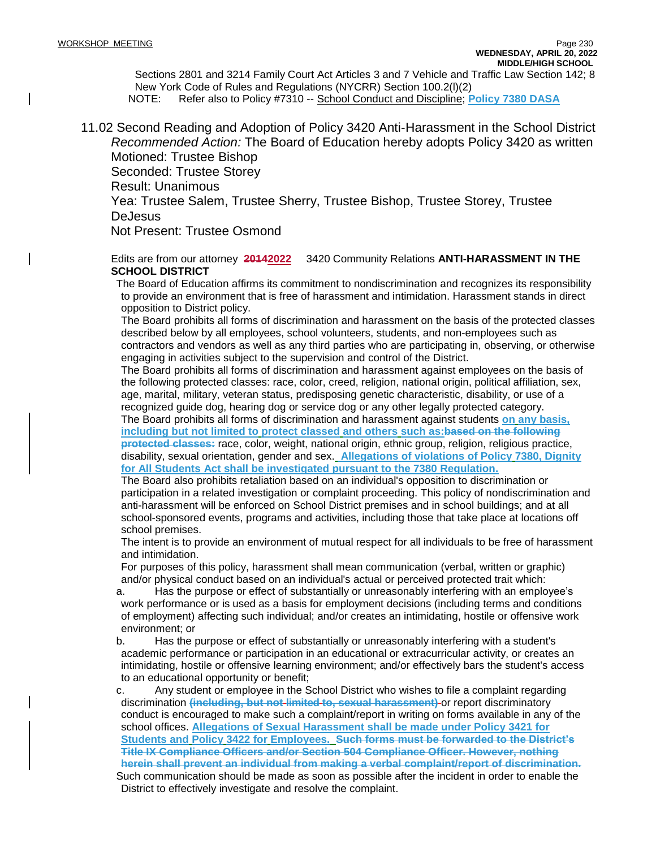Sections 2801 and 3214 Family Court Act Articles 3 and 7 Vehicle and Traffic Law Section 142; 8 New York Code of Rules and Regulations (NYCRR) Section 100.2(l)(2) NOTE: Refer also to Policy #7310 -- School Conduct and Discipline; **Policy 7380 DASA**

11.02 Second Reading and Adoption of Policy 3420 Anti-Harassment in the School District *Recommended Action:* The Board of Education hereby adopts Policy 3420 as written Motioned: Trustee Bishop Seconded: Trustee Storey

Result: Unanimous

Yea: Trustee Salem, Trustee Sherry, Trustee Bishop, Trustee Storey, Trustee DeJesus

Not Present: Trustee Osmond

Edits are from our attorney **20142022** 3420 Community Relations **ANTI-HARASSMENT IN THE SCHOOL DISTRICT**

The Board of Education affirms its commitment to nondiscrimination and recognizes its responsibility to provide an environment that is free of harassment and intimidation. Harassment stands in direct opposition to District policy.

The Board prohibits all forms of discrimination and harassment on the basis of the protected classes described below by all employees, school volunteers, students, and non-employees such as contractors and vendors as well as any third parties who are participating in, observing, or otherwise engaging in activities subject to the supervision and control of the District.

The Board prohibits all forms of discrimination and harassment against employees on the basis of the following protected classes: race, color, creed, religion, national origin, political affiliation, sex, age, marital, military, veteran status, predisposing genetic characteristic, disability, or use of a recognized guide dog, hearing dog or service dog or any other legally protected category.

The Board prohibits all forms of discrimination and harassment against students **on any basis, including but not limited to protect classed and others such as:based on the following protected classes:** race, color, weight, national origin, ethnic group, religion, religious practice, disability, sexual orientation, gender and sex. **Allegations of violations of Policy 7380, Dignity for All Students Act shall be investigated pursuant to the 7380 Regulation.**

The Board also prohibits retaliation based on an individual's opposition to discrimination or participation in a related investigation or complaint proceeding. This policy of nondiscrimination and anti-harassment will be enforced on School District premises and in school buildings; and at all school-sponsored events, programs and activities, including those that take place at locations off school premises.

The intent is to provide an environment of mutual respect for all individuals to be free of harassment and intimidation.

For purposes of this policy, harassment shall mean communication (verbal, written or graphic) and/or physical conduct based on an individual's actual or perceived protected trait which:

a. Has the purpose or effect of substantially or unreasonably interfering with an employee's work performance or is used as a basis for employment decisions (including terms and conditions of employment) affecting such individual; and/or creates an intimidating, hostile or offensive work environment; or

b. Has the purpose or effect of substantially or unreasonably interfering with a student's academic performance or participation in an educational or extracurricular activity, or creates an intimidating, hostile or offensive learning environment; and/or effectively bars the student's access to an educational opportunity or benefit;

c. Any student or employee in the School District who wishes to file a complaint regarding discrimination **(including, but not limited to, sexual harassment)** or report discriminatory conduct is encouraged to make such a complaint/report in writing on forms available in any of the school offices. **Allegations of Sexual Harassment shall be made under Policy 3421 for Students and Policy 3422 for Employees. Such forms must be forwarded to the District's Title IX Compliance Officers and/or Section 504 Compliance Officer. However, nothing herein shall prevent an individual from making a verbal complaint/report of discrimination.** Such communication should be made as soon as possible after the incident in order to enable the

District to effectively investigate and resolve the complaint.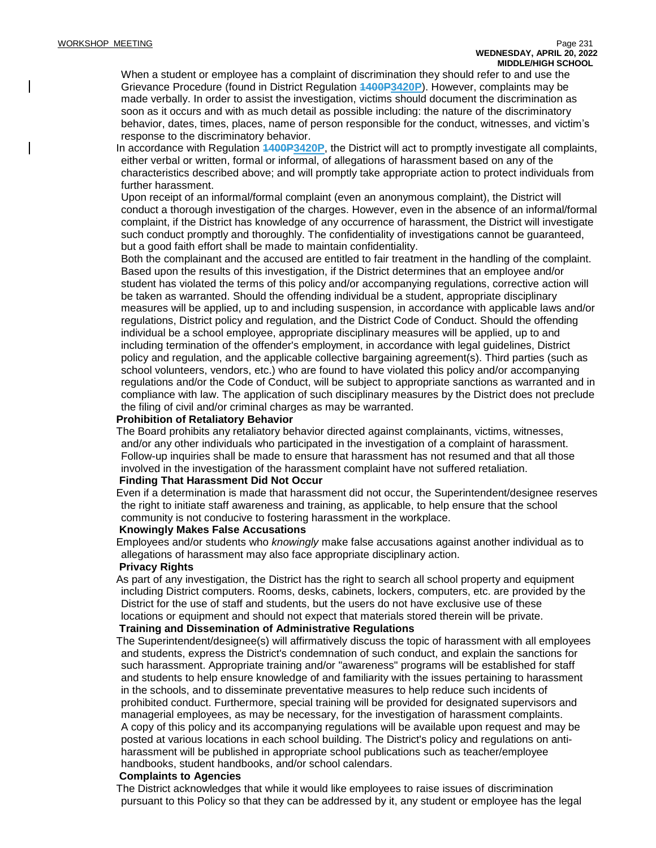When a student or employee has a complaint of discrimination they should refer to and use the Grievance Procedure (found in District Regulation **1400P3420P**). However, complaints may be made verbally. In order to assist the investigation, victims should document the discrimination as soon as it occurs and with as much detail as possible including: the nature of the discriminatory behavior, dates, times, places, name of person responsible for the conduct, witnesses, and victim's response to the discriminatory behavior.

In accordance with Regulation **1400P3420P**, the District will act to promptly investigate all complaints, either verbal or written, formal or informal, of allegations of harassment based on any of the characteristics described above; and will promptly take appropriate action to protect individuals from further harassment.

Upon receipt of an informal/formal complaint (even an anonymous complaint), the District will conduct a thorough investigation of the charges. However, even in the absence of an informal/formal complaint, if the District has knowledge of any occurrence of harassment, the District will investigate such conduct promptly and thoroughly. The confidentiality of investigations cannot be guaranteed, but a good faith effort shall be made to maintain confidentiality.

Both the complainant and the accused are entitled to fair treatment in the handling of the complaint. Based upon the results of this investigation, if the District determines that an employee and/or student has violated the terms of this policy and/or accompanying regulations, corrective action will be taken as warranted. Should the offending individual be a student, appropriate disciplinary measures will be applied, up to and including suspension, in accordance with applicable laws and/or regulations, District policy and regulation, and the District Code of Conduct. Should the offending individual be a school employee, appropriate disciplinary measures will be applied, up to and including termination of the offender's employment, in accordance with legal guidelines, District policy and regulation, and the applicable collective bargaining agreement(s). Third parties (such as school volunteers, vendors, etc.) who are found to have violated this policy and/or accompanying regulations and/or the Code of Conduct, will be subject to appropriate sanctions as warranted and in compliance with law. The application of such disciplinary measures by the District does not preclude the filing of civil and/or criminal charges as may be warranted.

#### **Prohibition of Retaliatory Behavior**

The Board prohibits any retaliatory behavior directed against complainants, victims, witnesses, and/or any other individuals who participated in the investigation of a complaint of harassment. Follow-up inquiries shall be made to ensure that harassment has not resumed and that all those involved in the investigation of the harassment complaint have not suffered retaliation.

#### **Finding That Harassment Did Not Occur**

Even if a determination is made that harassment did not occur, the Superintendent/designee reserves the right to initiate staff awareness and training, as applicable, to help ensure that the school community is not conducive to fostering harassment in the workplace.

#### **Knowingly Makes False Accusations**

Employees and/or students who *knowingly* make false accusations against another individual as to allegations of harassment may also face appropriate disciplinary action.

#### **Privacy Rights**

As part of any investigation, the District has the right to search all school property and equipment including District computers. Rooms, desks, cabinets, lockers, computers, etc. are provided by the District for the use of staff and students, but the users do not have exclusive use of these locations or equipment and should not expect that materials stored therein will be private.

### **Training and Dissemination of Administrative Regulations**

The Superintendent/designee(s) will affirmatively discuss the topic of harassment with all employees and students, express the District's condemnation of such conduct, and explain the sanctions for such harassment. Appropriate training and/or "awareness" programs will be established for staff and students to help ensure knowledge of and familiarity with the issues pertaining to harassment in the schools, and to disseminate preventative measures to help reduce such incidents of prohibited conduct. Furthermore, special training will be provided for designated supervisors and managerial employees, as may be necessary, for the investigation of harassment complaints. A copy of this policy and its accompanying regulations will be available upon request and may be posted at various locations in each school building. The District's policy and regulations on antiharassment will be published in appropriate school publications such as teacher/employee handbooks, student handbooks, and/or school calendars.

#### **Complaints to Agencies**

The District acknowledges that while it would like employees to raise issues of discrimination pursuant to this Policy so that they can be addressed by it, any student or employee has the legal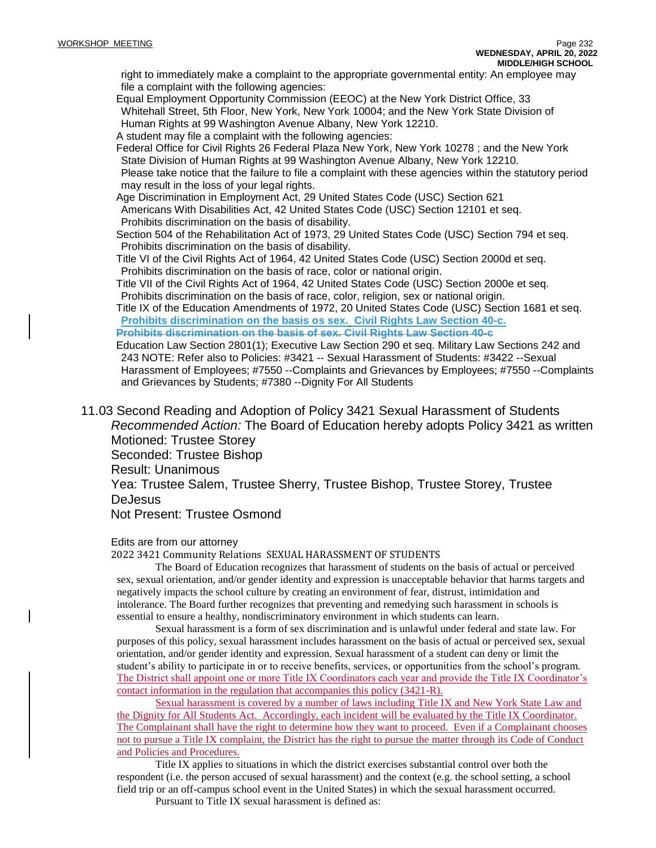right to immediately make a complaint to the appropriate governmental entity: An employee may file a complaint with the following agencies:

Equal Employment Opportunity Commission (EEOC) at the New York District Office, 33 Whitehall Street, 5th Floor, New York, New York 10004; and the New York State Division of Human Rights at 99 Washington Avenue Albany, New York 12210.

A student may file a complaint with the following agencies:

Federal Office for Civil Rights 26 Federal Plaza New York, New York 10278 ; and the New York State Division of Human Rights at 99 Washington Avenue Albany, New York 12210. Please take notice that the failure to file a complaint with these agencies within the statutory period may result in the loss of your legal rights.

Age Discrimination in Employment Act, 29 United States Code (USC) Section 621 Americans With Disabilities Act, 42 United States Code (USC) Section 12101 et seq. Prohibits discrimination on the basis of disability.

Section 504 of the Rehabilitation Act of 1973, 29 United States Code (USC) Section 794 et seq. Prohibits discrimination on the basis of disability.

Title VI of the Civil Rights Act of 1964, 42 United States Code (USC) Section 2000d et seq. Prohibits discrimination on the basis of race, color or national origin.

Title VII of the Civil Rights Act of 1964, 42 United States Code (USC) Section 2000e et seq. Prohibits discrimination on the basis of race, color, religion, sex or national origin.

Title IX of the Education Amendments of 1972, 20 United States Code (USC) Section 1681 et seq. **Prohibits discrimination on the basis os sex. Civil Rights Law Section 40-c. Prohibits discrimination on the basis of sex. Civil Rights Law Section 40-c**

Education Law Section 2801(1); Executive Law Section 290 et seq. Military Law Sections 242 and 243 NOTE: Refer also to Policies: #3421 -- Sexual Harassment of Students: #3422 --Sexual Harassment of Employees; #7550 --Complaints and Grievances by Employees; #7550 --Complaints and Grievances by Students; #7380 --Dignity For All Students

11.03 Second Reading and Adoption of Policy 3421 Sexual Harassment of Students *Recommended Action:* The Board of Education hereby adopts Policy 3421 as written Motioned: Trustee Storey

Seconded: Trustee Bishop

Result: Unanimous

Yea: Trustee Salem, Trustee Sherry, Trustee Bishop, Trustee Storey, Trustee DeJesus

Not Present: Trustee Osmond

### Edits are from our attorney

2022 3421 Community Relations SEXUAL HARASSMENT OF STUDENTS

The Board of Education recognizes that harassment of students on the basis of actual or perceived sex, sexual orientation, and/or gender identity and expression is unacceptable behavior that harms targets and negatively impacts the school culture by creating an environment of fear, distrust, intimidation and intolerance. The Board further recognizes that preventing and remedying such harassment in schools is essential to ensure a healthy, nondiscriminatory environment in which students can learn.

Sexual harassment is a form of sex discrimination and is unlawful under federal and state law. For purposes of this policy, sexual harassment includes harassment on the basis of actual or perceived sex, sexual orientation, and/or gender identity and expression. Sexual harassment of a student can deny or limit the student's ability to participate in or to receive benefits, services, or opportunities from the school's program. The District shall appoint one or more Title IX Coordinators each year and provide the Title IX Coordinator's contact information in the regulation that accompanies this policy (3421-R).

Sexual harassment is covered by a number of laws including Title IX and New York State Law and the Dignity for All Students Act. Accordingly, each incident will be evaluated by the Title IX Coordinator. The Complainant shall have the right to determine how they want to proceed. Even if a Complainant chooses not to pursue a Title IX complaint, the District has the right to pursue the matter through its Code of Conduct and Policies and Procedures.

Title IX applies to situations in which the district exercises substantial control over both the respondent (i.e. the person accused of sexual harassment) and the context (e.g. the school setting, a school field trip or an off-campus school event in the United States) in which the sexual harassment occurred.

Pursuant to Title IX sexual harassment is defined as: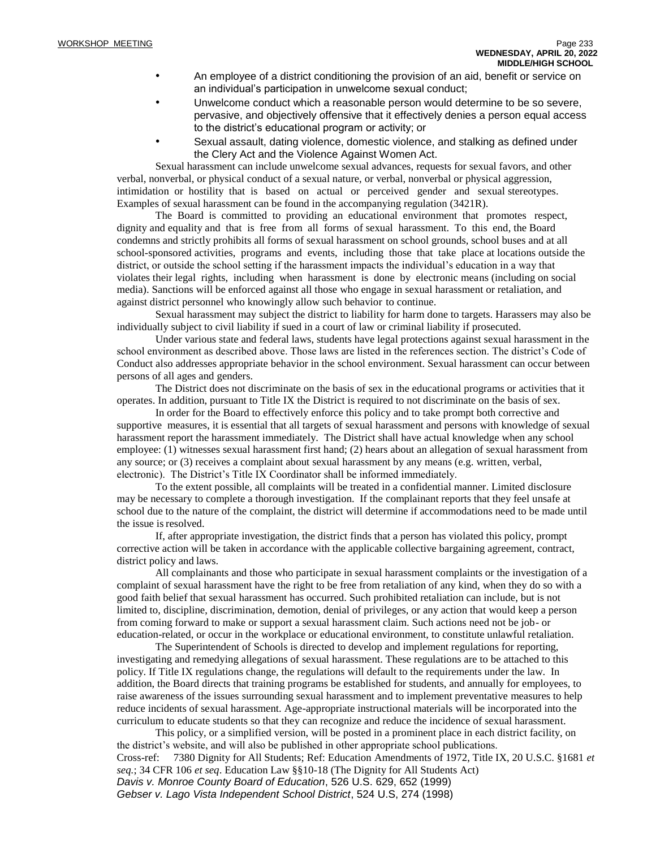- An employee of a district conditioning the provision of an aid, benefit or service on an individual's participation in unwelcome sexual conduct;
- Unwelcome conduct which a reasonable person would determine to be so severe, pervasive, and objectively offensive that it effectively denies a person equal access to the district's educational program or activity; or
- Sexual assault, dating violence, domestic violence, and stalking as defined under the Clery Act and the Violence Against Women Act.

Sexual harassment can include unwelcome sexual advances, requests for sexual favors, and other verbal, nonverbal, or physical conduct of a sexual nature, or verbal, nonverbal or physical aggression, intimidation or hostility that is based on actual or perceived gender and sexual stereotypes. Examples of sexual harassment can be found in the accompanying regulation (3421R).

The Board is committed to providing an educational environment that promotes respect, dignity and equality and that is free from all forms of sexual harassment. To this end, the Board condemns and strictly prohibits all forms of sexual harassment on school grounds, school buses and at all school-sponsored activities, programs and events, including those that take place at locations outside the district, or outside the school setting if the harassment impacts the individual's education in a way that violates their legal rights, including when harassment is done by electronic means (including on social media). Sanctions will be enforced against all those who engage in sexual harassment or retaliation, and against district personnel who knowingly allow such behavior to continue.

Sexual harassment may subject the district to liability for harm done to targets. Harassers may also be individually subject to civil liability if sued in a court of law or criminal liability if prosecuted.

Under various state and federal laws, students have legal protections against sexual harassment in the school environment as described above. Those laws are listed in the references section. The district's Code of Conduct also addresses appropriate behavior in the school environment. Sexual harassment can occur between persons of all ages and genders.

The District does not discriminate on the basis of sex in the educational programs or activities that it operates. In addition, pursuant to Title IX the District is required to not discriminate on the basis of sex.

In order for the Board to effectively enforce this policy and to take prompt both corrective and supportive measures, it is essential that all targets of sexual harassment and persons with knowledge of sexual harassment report the harassment immediately. The District shall have actual knowledge when any school employee: (1) witnesses sexual harassment first hand; (2) hears about an allegation of sexual harassment from any source; or (3) receives a complaint about sexual harassment by any means (e.g. written, verbal, electronic). The District's Title IX Coordinator shall be informed immediately.

To the extent possible, all complaints will be treated in a confidential manner. Limited disclosure may be necessary to complete a thorough investigation. If the complainant reports that they feel unsafe at school due to the nature of the complaint, the district will determine if accommodations need to be made until the issue is resolved.

If, after appropriate investigation, the district finds that a person has violated this policy, prompt corrective action will be taken in accordance with the applicable collective bargaining agreement, contract, district policy and laws.

All complainants and those who participate in sexual harassment complaints or the investigation of a complaint of sexual harassment have the right to be free from retaliation of any kind, when they do so with a good faith belief that sexual harassment has occurred. Such prohibited retaliation can include, but is not limited to, discipline, discrimination, demotion, denial of privileges, or any action that would keep a person from coming forward to make or support a sexual harassment claim. Such actions need not be job- or education-related, or occur in the workplace or educational environment, to constitute unlawful retaliation.

The Superintendent of Schools is directed to develop and implement regulations for reporting, investigating and remedying allegations of sexual harassment. These regulations are to be attached to this policy. If Title IX regulations change, the regulations will default to the requirements under the law. In addition, the Board directs that training programs be established for students, and annually for employees, to raise awareness of the issues surrounding sexual harassment and to implement preventative measures to help reduce incidents of sexual harassment. Age-appropriate instructional materials will be incorporated into the curriculum to educate students so that they can recognize and reduce the incidence of sexual harassment.

This policy, or a simplified version, will be posted in a prominent place in each district facility, on the district's website, and will also be published in other appropriate school publications. Cross-ref: 7380 Dignity for All Students; Ref: Education Amendments of 1972, Title IX, 20 U.S.C. §1681 *et seq.*; 34 CFR 106 *et seq*. Education Law §§10-18 (The Dignity for All Students Act) *Davis v. Monroe County Board of Education*, 526 U.S. 629, 652 (1999) *Gebser v. Lago Vista Independent School District*, 524 U.S, 274 (1998)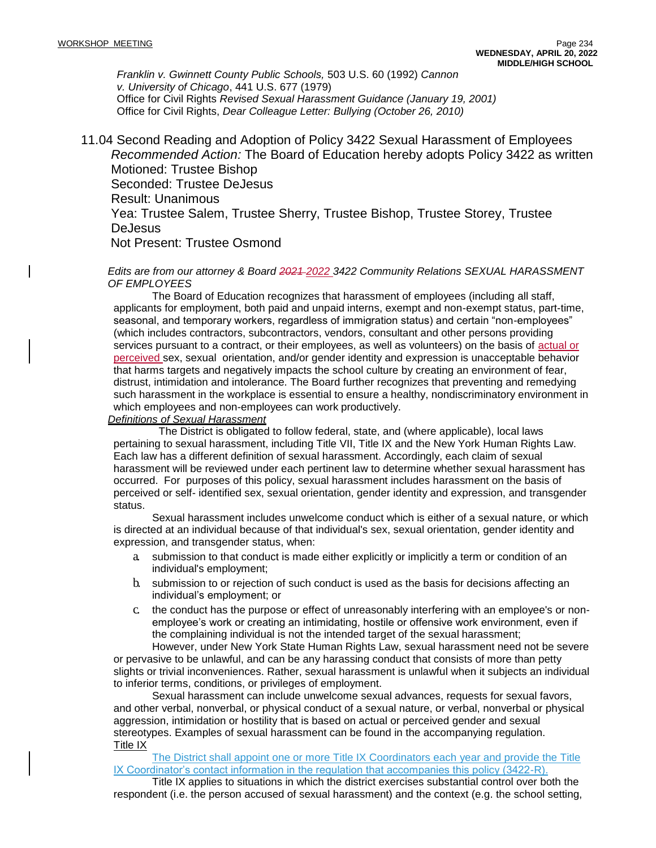*Franklin v. Gwinnett County Public Schools,* 503 U.S. 60 (1992) *Cannon v. University of Chicago*, 441 U.S. 677 (1979) Office for Civil Rights *Revised Sexual Harassment Guidance (January 19, 2001)*  Office for Civil Rights, *Dear Colleague Letter: Bullying (October 26, 2010)*

11.04 Second Reading and Adoption of Policy 3422 Sexual Harassment of Employees *Recommended Action:* The Board of Education hereby adopts Policy 3422 as written Motioned: Trustee Bishop Seconded: Trustee DeJesus Result: Unanimous Yea: Trustee Salem, Trustee Sherry, Trustee Bishop, Trustee Storey, Trustee **DeJesus** Not Present: Trustee Osmond

#### *Edits are from our attorney & Board 2021 2022 3422 Community Relations SEXUAL HARASSMENT OF EMPLOYEES*

The Board of Education recognizes that harassment of employees (including all staff, applicants for employment, both paid and unpaid interns, exempt and non-exempt status, part-time, seasonal, and temporary workers, regardless of immigration status) and certain "non-employees" (which includes contractors, subcontractors, vendors, consultant and other persons providing services pursuant to a contract, or their employees, as well as volunteers) on the basis of actual or perceived sex, sexual orientation, and/or gender identity and expression is unacceptable behavior that harms targets and negatively impacts the school culture by creating an environment of fear, distrust, intimidation and intolerance. The Board further recognizes that preventing and remedying such harassment in the workplace is essential to ensure a healthy, nondiscriminatory environment in which employees and non-employees can work productively.

#### *Definitions of Sexual Harassment*

The District is obligated to follow federal, state, and (where applicable), local laws pertaining to sexual harassment, including Title VII, Title IX and the New York Human Rights Law. Each law has a different definition of sexual harassment. Accordingly, each claim of sexual harassment will be reviewed under each pertinent law to determine whether sexual harassment has occurred. For purposes of this policy, sexual harassment includes harassment on the basis of perceived or self- identified sex, sexual orientation, gender identity and expression, and transgender status.

Sexual harassment includes unwelcome conduct which is either of a sexual nature, or which is directed at an individual because of that individual's sex, sexual orientation, gender identity and expression, and transgender status, when:

- a. submission to that conduct is made either explicitly or implicitly a term or condition of an individual's employment;
- b. submission to or rejection of such conduct is used as the basis for decisions affecting an individual's employment; or
- c. the conduct has the purpose or effect of unreasonably interfering with an employee's or nonemployee's work or creating an intimidating, hostile or offensive work environment, even if the complaining individual is not the intended target of the sexual harassment;

However, under New York State Human Rights Law, sexual harassment need not be severe or pervasive to be unlawful, and can be any harassing conduct that consists of more than petty slights or trivial inconveniences. Rather, sexual harassment is unlawful when it subjects an individual to inferior terms, conditions, or privileges of employment.

Sexual harassment can include unwelcome sexual advances, requests for sexual favors, and other verbal, nonverbal, or physical conduct of a sexual nature, or verbal, nonverbal or physical aggression, intimidation or hostility that is based on actual or perceived gender and sexual stereotypes. Examples of sexual harassment can be found in the accompanying regulation. Title IX

The District shall appoint one or more Title IX Coordinators each year and provide the Title IX Coordinator's contact information in the regulation that accompanies this policy (3422-R).

Title IX applies to situations in which the district exercises substantial control over both the respondent (i.e. the person accused of sexual harassment) and the context (e.g. the school setting,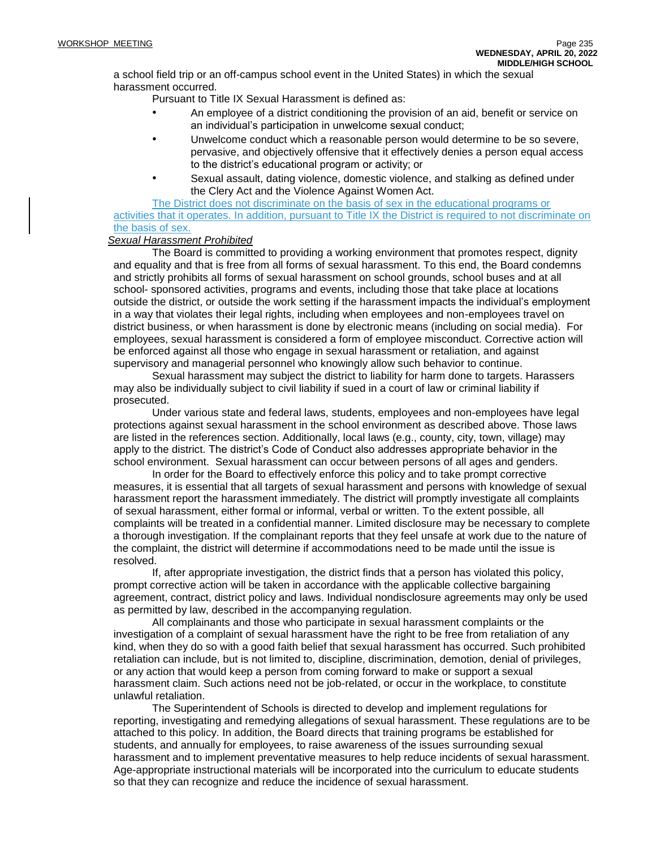a school field trip or an off-campus school event in the United States) in which the sexual harassment occurred.

Pursuant to Title IX Sexual Harassment is defined as:

- An employee of a district conditioning the provision of an aid, benefit or service on an individual's participation in unwelcome sexual conduct;
- Unwelcome conduct which a reasonable person would determine to be so severe, pervasive, and objectively offensive that it effectively denies a person equal access to the district's educational program or activity; or
- Sexual assault, dating violence, domestic violence, and stalking as defined under the Clery Act and the Violence Against Women Act.

The District does not discriminate on the basis of sex in the educational programs or activities that it operates. In addition, pursuant to Title IX the District is required to not discriminate on the basis of sex.

### *Sexual Harassment Prohibited*

The Board is committed to providing a working environment that promotes respect, dignity and equality and that is free from all forms of sexual harassment. To this end, the Board condemns and strictly prohibits all forms of sexual harassment on school grounds, school buses and at all school- sponsored activities, programs and events, including those that take place at locations outside the district, or outside the work setting if the harassment impacts the individual's employment in a way that violates their legal rights, including when employees and non-employees travel on district business, or when harassment is done by electronic means (including on social media). For employees, sexual harassment is considered a form of employee misconduct. Corrective action will be enforced against all those who engage in sexual harassment or retaliation, and against supervisory and managerial personnel who knowingly allow such behavior to continue.

Sexual harassment may subject the district to liability for harm done to targets. Harassers may also be individually subject to civil liability if sued in a court of law or criminal liability if prosecuted.

Under various state and federal laws, students, employees and non-employees have legal protections against sexual harassment in the school environment as described above. Those laws are listed in the references section. Additionally, local laws (e.g., county, city, town, village) may apply to the district. The district's Code of Conduct also addresses appropriate behavior in the school environment. Sexual harassment can occur between persons of all ages and genders.

In order for the Board to effectively enforce this policy and to take prompt corrective measures, it is essential that all targets of sexual harassment and persons with knowledge of sexual harassment report the harassment immediately. The district will promptly investigate all complaints of sexual harassment, either formal or informal, verbal or written. To the extent possible, all complaints will be treated in a confidential manner. Limited disclosure may be necessary to complete a thorough investigation. If the complainant reports that they feel unsafe at work due to the nature of the complaint, the district will determine if accommodations need to be made until the issue is resolved.

If, after appropriate investigation, the district finds that a person has violated this policy, prompt corrective action will be taken in accordance with the applicable collective bargaining agreement, contract, district policy and laws. Individual nondisclosure agreements may only be used as permitted by law, described in the accompanying regulation.

All complainants and those who participate in sexual harassment complaints or the investigation of a complaint of sexual harassment have the right to be free from retaliation of any kind, when they do so with a good faith belief that sexual harassment has occurred. Such prohibited retaliation can include, but is not limited to, discipline, discrimination, demotion, denial of privileges, or any action that would keep a person from coming forward to make or support a sexual harassment claim. Such actions need not be job-related, or occur in the workplace, to constitute unlawful retaliation.

The Superintendent of Schools is directed to develop and implement regulations for reporting, investigating and remedying allegations of sexual harassment. These regulations are to be attached to this policy. In addition, the Board directs that training programs be established for students, and annually for employees, to raise awareness of the issues surrounding sexual harassment and to implement preventative measures to help reduce incidents of sexual harassment. Age-appropriate instructional materials will be incorporated into the curriculum to educate students so that they can recognize and reduce the incidence of sexual harassment.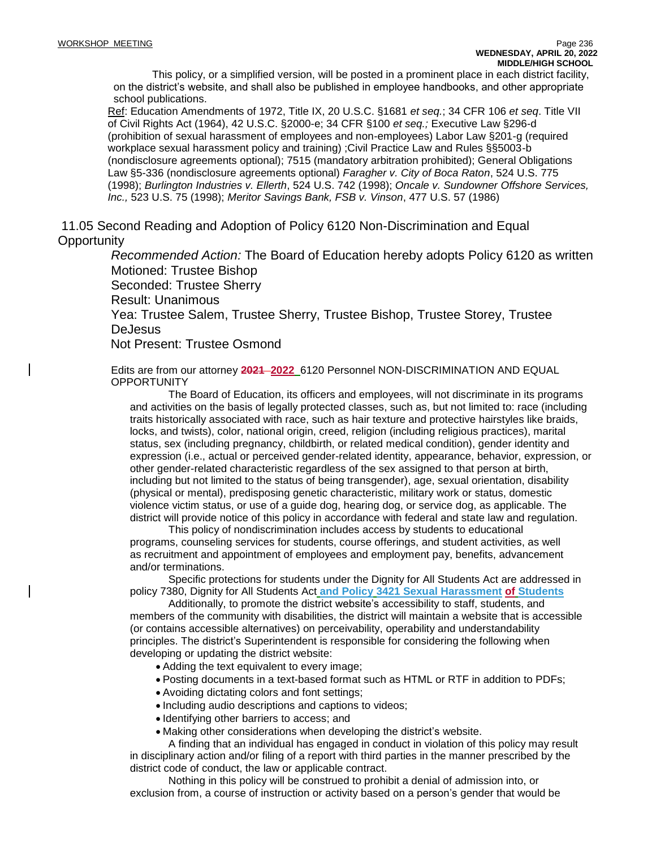This policy, or a simplified version, will be posted in a prominent place in each district facility, on the district's website, and shall also be published in employee handbooks, and other appropriate school publications.

Ref: Education Amendments of 1972, Title IX, 20 U.S.C. §1681 *et seq.*; 34 CFR 106 *et seq*. Title VII of Civil Rights Act (1964), 42 U.S.C. §2000-e; 34 CFR §100 *et seq.;* Executive Law §296-d (prohibition of sexual harassment of employees and non-employees) Labor Law §201-g (required workplace sexual harassment policy and training) ;Civil Practice Law and Rules §§5003-b (nondisclosure agreements optional); 7515 (mandatory arbitration prohibited); General Obligations Law §5-336 (nondisclosure agreements optional) *Faragher v. City of Boca Raton*, 524 U.S. 775 (1998); *Burlington Industries v. Ellerth*, 524 U.S. 742 (1998); *Oncale v. Sundowner Offshore Services, Inc.,* 523 U.S. 75 (1998); *Meritor Savings Bank, FSB v. Vinson*, 477 U.S. 57 (1986)

11.05 Second Reading and Adoption of Policy 6120 Non-Discrimination and Equal **Opportunity** 

> *Recommended Action:* The Board of Education hereby adopts Policy 6120 as written Motioned: Trustee Bishop Seconded: Trustee Sherry Result: Unanimous Yea: Trustee Salem, Trustee Sherry, Trustee Bishop, Trustee Storey, Trustee DeJesus Not Present: Trustee Osmond

Edits are from our attorney **2021 2022** 6120 Personnel NON-DISCRIMINATION AND EQUAL **OPPORTUNITY** 

The Board of Education, its officers and employees, will not discriminate in its programs and activities on the basis of legally protected classes, such as, but not limited to: race (including traits historically associated with race, such as hair texture and protective hairstyles like braids, locks, and twists), color, national origin, creed, religion (including religious practices), marital status, sex (including pregnancy, childbirth, or related medical condition), gender identity and expression (i.e., actual or perceived gender-related identity, appearance, behavior, expression, or other gender-related characteristic regardless of the sex assigned to that person at birth, including but not limited to the status of being transgender), age, sexual orientation, disability (physical or mental), predisposing genetic characteristic, military work or status, domestic violence victim status, or use of a guide dog, hearing dog, or service dog, as applicable. The district will provide notice of this policy in accordance with federal and state law and regulation.

This policy of nondiscrimination includes access by students to educational programs, counseling services for students, course offerings, and student activities, as well as recruitment and appointment of employees and employment pay, benefits, advancement and/or terminations.

Specific protections for students under the Dignity for All Students Act are addressed in policy 7380, Dignity for All Students Act **and Policy 3421 Sexual Harassment of Students**

Additionally, to promote the district website's accessibility to staff, students, and members of the community with disabilities, the district will maintain a website that is accessible (or contains accessible alternatives) on perceivability, operability and understandability principles. The district's Superintendent is responsible for considering the following when developing or updating the district website:

- Adding the text equivalent to every image;
- Posting documents in a text-based format such as HTML or RTF in addition to PDFs;
- Avoiding dictating colors and font settings;
- Including audio descriptions and captions to videos;
- Identifying other barriers to access; and
- Making other considerations when developing the district's website.

A finding that an individual has engaged in conduct in violation of this policy may result in disciplinary action and/or filing of a report with third parties in the manner prescribed by the district code of conduct, the law or applicable contract.

Nothing in this policy will be construed to prohibit a denial of admission into, or exclusion from, a course of instruction or activity based on a person's gender that would be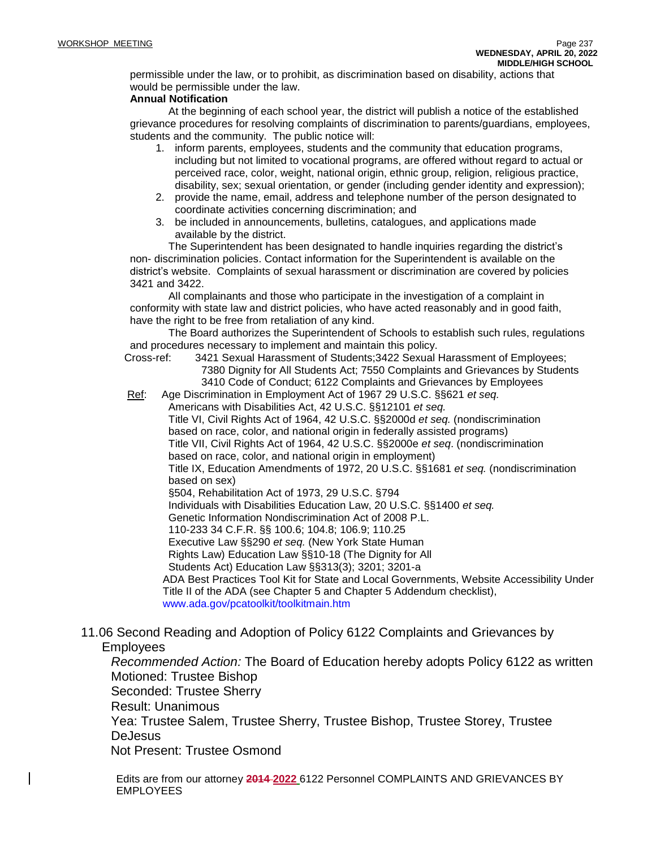permissible under the law, or to prohibit, as discrimination based on disability, actions that would be permissible under the law.

## **Annual Notification**

At the beginning of each school year, the district will publish a notice of the established grievance procedures for resolving complaints of discrimination to parents/guardians, employees, students and the community. The public notice will:

- 1. inform parents, employees, students and the community that education programs, including but not limited to vocational programs, are offered without regard to actual or perceived race, color, weight, national origin, ethnic group, religion, religious practice, disability, sex; sexual orientation, or gender (including gender identity and expression);
- 2. provide the name, email, address and telephone number of the person designated to coordinate activities concerning discrimination; and
- 3. be included in announcements, bulletins, catalogues, and applications made available by the district.

The Superintendent has been designated to handle inquiries regarding the district's non- discrimination policies. Contact information for the Superintendent is available on the district's website. Complaints of sexual harassment or discrimination are covered by policies 3421 and 3422.

All complainants and those who participate in the investigation of a complaint in conformity with state law and district policies, who have acted reasonably and in good faith, have the right to be free from retaliation of any kind.

The Board authorizes the Superintendent of Schools to establish such rules, regulations and procedures necessary to implement and maintain this policy.

Cross-ref: 3421 Sexual Harassment of Students;3422 Sexual Harassment of Employees; 7380 Dignity for All Students Act; 7550 Complaints and Grievances by Students 3410 Code of Conduct; 6122 Complaints and Grievances by Employees

Ref: Age Discrimination in Employment Act of 1967 29 U.S.C. §§621 *et seq.*

Americans with Disabilities Act, 42 U.S.C. §§12101 *et seq.* Title VI, Civil Rights Act of 1964, 42 U.S.C. §§2000d *et seq.* (nondiscrimination based on race, color, and national origin in federally assisted programs) Title VII, Civil Rights Act of 1964, 42 U.S.C. §§2000e *et seq*. (nondiscrimination based on race, color, and national origin in employment) Title IX, Education Amendments of 1972, 20 U.S.C. §§1681 *et seq.* (nondiscrimination based on sex) §504, Rehabilitation Act of 1973, 29 U.S.C. §794 Individuals with Disabilities Education Law, 20 U.S.C. §§1400 *et seq.* Genetic Information Nondiscrimination Act of 2008 P.L. 110-233 34 C.F.R. §§ 100.6; 104.8; 106.9; 110.25 Executive Law §§290 *et seq.* (New York State Human Rights Law) Education Law §§10-18 (The Dignity for All Students Act) Education Law §§313(3); 3201; 3201-a ADA Best Practices Tool Kit for State and Local Governments, Website Accessibility Under Title II of the ADA (see Chapter 5 and Chapter 5 Addendum checklist), [www.ada.gov/pcatoolkit/toolkitmain.htm](http://www.ada.gov/pcatoolkit/toolkitmain.htm)

11.06 Second Reading and Adoption of Policy 6122 Complaints and Grievances by Employees

*Recommended Action:* The Board of Education hereby adopts Policy 6122 as written Motioned: Trustee Bishop Seconded: Trustee Sherry

Result: Unanimous

Yea: Trustee Salem, Trustee Sherry, Trustee Bishop, Trustee Storey, Trustee DeJesus

Not Present: Trustee Osmond

Edits are from our attorney **2014 2022** 6122 Personnel COMPLAINTS AND GRIEVANCES BY EMPLOYEES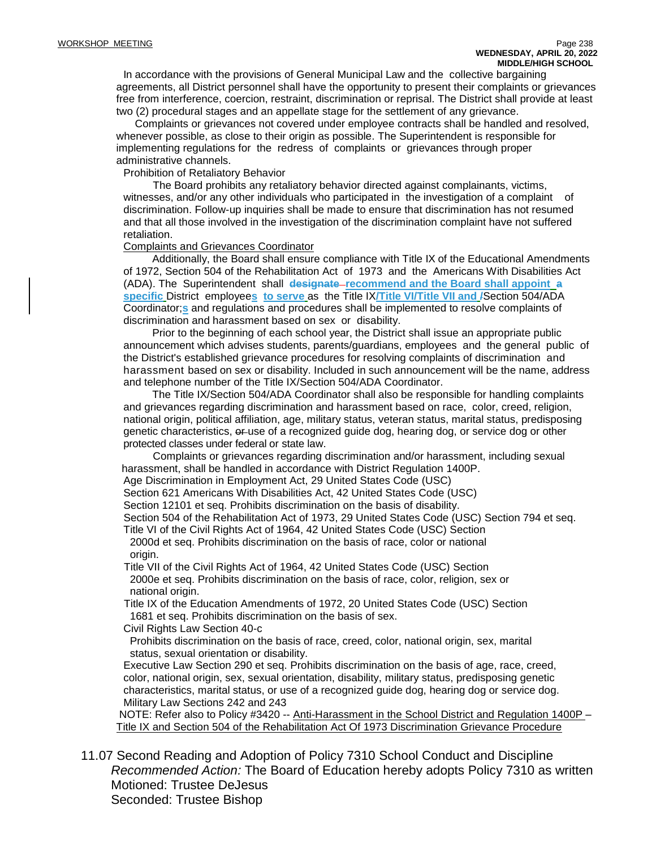In accordance with the provisions of General Municipal Law and the collective bargaining agreements, all District personnel shall have the opportunity to present their complaints or grievances free from interference, coercion, restraint, discrimination or reprisal. The District shall provide at least two (2) procedural stages and an appellate stage for the settlement of any grievance.

Complaints or grievances not covered under employee contracts shall be handled and resolved, whenever possible, as close to their origin as possible. The Superintendent is responsible for implementing regulations for the redress of complaints or grievances through proper administrative channels.

Prohibition of Retaliatory Behavior

The Board prohibits any retaliatory behavior directed against complainants, victims, witnesses, and/or any other individuals who participated in the investigation of a complaint of discrimination. Follow-up inquiries shall be made to ensure that discrimination has not resumed and that all those involved in the investigation of the discrimination complaint have not suffered retaliation.

#### Complaints and Grievances Coordinator

Additionally, the Board shall ensure compliance with Title IX of the Educational Amendments of 1972, Section 504 of the Rehabilitation Act of 1973 and the Americans With Disabilities Act (ADA). The Superintendent shall **designate recommend and the Board shall appoint a specific** District employee**s to serve** as the Title IX**/Title VI/Title VII and /**Section 504/ADA Coordinator;**s** and regulations and procedures shall be implemented to resolve complaints of discrimination and harassment based on sex or disability.

Prior to the beginning of each school year, the District shall issue an appropriate public announcement which advises students, parents/guardians, employees and the general public of the District's established grievance procedures for resolving complaints of discrimination and harassment based on sex or disability. Included in such announcement will be the name, address and telephone number of the Title IX/Section 504/ADA Coordinator.

The Title IX/Section 504/ADA Coordinator shall also be responsible for handling complaints and grievances regarding discrimination and harassment based on race, color, creed, religion, national origin, political affiliation, age, military status, veteran status, marital status, predisposing genetic characteristics,  $\theta$ -use of a recognized guide dog, hearing dog, or service dog or other protected classes under federal or state law.

Complaints or grievances regarding discrimination and/or harassment, including sexual harassment, shall be handled in accordance with District Regulation 1400P.

Age Discrimination in Employment Act, 29 United States Code (USC)

Section 621 Americans With Disabilities Act, 42 United States Code (USC)

Section 12101 et seq. Prohibits discrimination on the basis of disability.

Section 504 of the Rehabilitation Act of 1973, 29 United States Code (USC) Section 794 et seq.

Title VI of the Civil Rights Act of 1964, 42 United States Code (USC) Section 2000d et seq. Prohibits discrimination on the basis of race, color or national origin.

Title VII of the Civil Rights Act of 1964, 42 United States Code (USC) Section 2000e et seq. Prohibits discrimination on the basis of race, color, religion, sex or national origin.

Title IX of the Education Amendments of 1972, 20 United States Code (USC) Section 1681 et seq. Prohibits discrimination on the basis of sex.

Civil Rights Law Section 40-c

Prohibits discrimination on the basis of race, creed, color, national origin, sex, marital status, sexual orientation or disability.

Executive Law Section 290 et seq. Prohibits discrimination on the basis of age, race, creed, color, national origin, sex, sexual orientation, disability, military status, predisposing genetic characteristics, marital status, or use of a recognized guide dog, hearing dog or service dog. Military Law Sections 242 and 243

NOTE: Refer also to Policy #3420 -- Anti-Harassment in the School District and Regulation 1400P – Title IX and Section 504 of the Rehabilitation Act Of 1973 Discrimination Grievance Procedure

11.07 Second Reading and Adoption of Policy 7310 School Conduct and Discipline *Recommended Action:* The Board of Education hereby adopts Policy 7310 as written Motioned: Trustee DeJesus Seconded: Trustee Bishop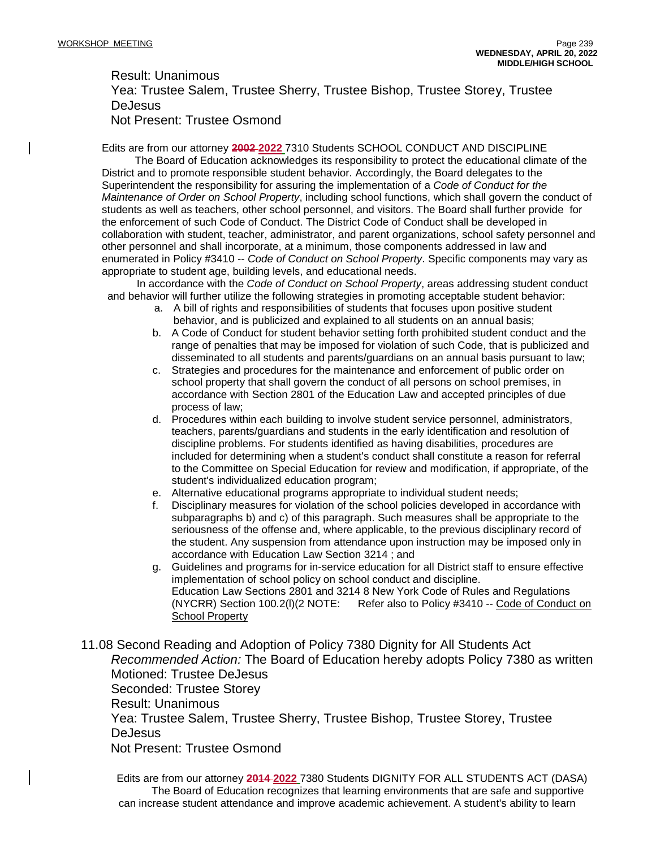Result: Unanimous

Yea: Trustee Salem, Trustee Sherry, Trustee Bishop, Trustee Storey, Trustee **DeJesus** Not Present: Trustee Osmond

Edits are from our attorney **2002 2022** 7310 Students SCHOOL CONDUCT AND DISCIPLINE

The Board of Education acknowledges its responsibility to protect the educational climate of the District and to promote responsible student behavior. Accordingly, the Board delegates to the Superintendent the responsibility for assuring the implementation of a *Code of Conduct for the Maintenance of Order on School Property*, including school functions, which shall govern the conduct of students as well as teachers, other school personnel, and visitors. The Board shall further provide for the enforcement of such Code of Conduct. The District Code of Conduct shall be developed in collaboration with student, teacher, administrator, and parent organizations, school safety personnel and other personnel and shall incorporate, at a minimum, those components addressed in law and enumerated in Policy #3410 -- *Code of Conduct on School Property*. Specific components may vary as appropriate to student age, building levels, and educational needs.

In accordance with the *Code of Conduct on School Property*, areas addressing student conduct and behavior will further utilize the following strategies in promoting acceptable student behavior:

- a. A bill of rights and responsibilities of students that focuses upon positive student behavior, and is publicized and explained to all students on an annual basis;
- b. A Code of Conduct for student behavior setting forth prohibited student conduct and the range of penalties that may be imposed for violation of such Code, that is publicized and disseminated to all students and parents/guardians on an annual basis pursuant to law;
- c. Strategies and procedures for the maintenance and enforcement of public order on school property that shall govern the conduct of all persons on school premises, in accordance with Section 2801 of the Education Law and accepted principles of due process of law;
- d. Procedures within each building to involve student service personnel, administrators, teachers, parents/guardians and students in the early identification and resolution of discipline problems. For students identified as having disabilities, procedures are included for determining when a student's conduct shall constitute a reason for referral to the Committee on Special Education for review and modification, if appropriate, of the student's individualized education program;
- e. Alternative educational programs appropriate to individual student needs;
- f. Disciplinary measures for violation of the school policies developed in accordance with subparagraphs b) and c) of this paragraph. Such measures shall be appropriate to the seriousness of the offense and, where applicable, to the previous disciplinary record of the student. Any suspension from attendance upon instruction may be imposed only in accordance with Education Law Section 3214 ; and
- g. Guidelines and programs for in-service education for all District staff to ensure effective implementation of school policy on school conduct and discipline. Education Law Sections 2801 and 3214 8 New York Code of Rules and Regulations (NYCRR) Section 100.2(l)(2 NOTE: Refer also to Policy #3410 -- Code of Conduct on School Property

11.08 Second Reading and Adoption of Policy 7380 Dignity for All Students Act *Recommended Action:* The Board of Education hereby adopts Policy 7380 as written Motioned: Trustee DeJesus Seconded: Trustee Storey Result: Unanimous Yea: Trustee Salem, Trustee Sherry, Trustee Bishop, Trustee Storey, Trustee DeJesus Not Present: Trustee Osmond

Edits are from our attorney **2014 2022** 7380 Students DIGNITY FOR ALL STUDENTS ACT (DASA) The Board of Education recognizes that learning environments that are safe and supportive can increase student attendance and improve academic achievement. A student's ability to learn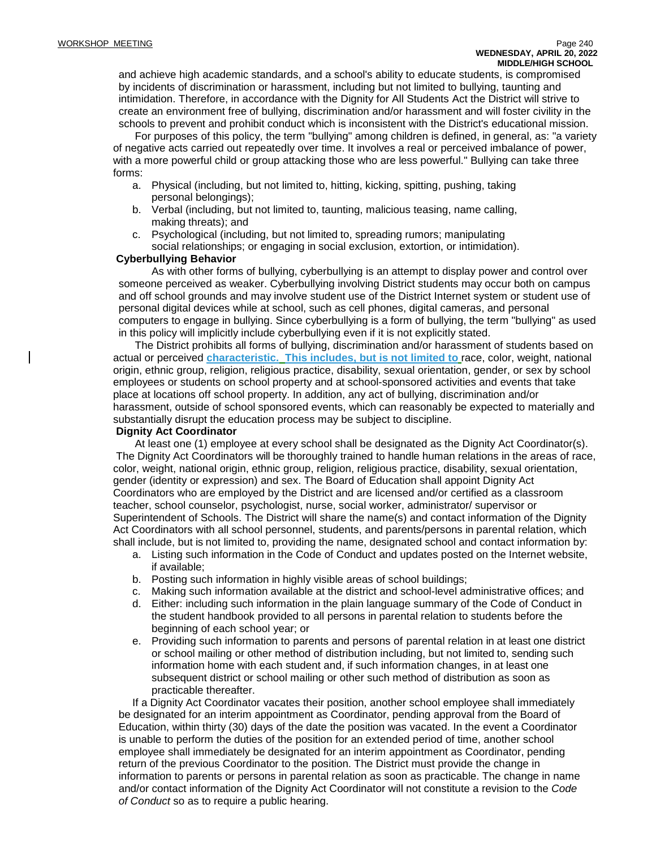and achieve high academic standards, and a school's ability to educate students, is compromised by incidents of discrimination or harassment, including but not limited to bullying, taunting and intimidation. Therefore, in accordance with the Dignity for All Students Act the District will strive to create an environment free of bullying, discrimination and/or harassment and will foster civility in the schools to prevent and prohibit conduct which is inconsistent with the District's educational mission.

For purposes of this policy, the term "bullying" among children is defined, in general, as: "a variety of negative acts carried out repeatedly over time. It involves a real or perceived imbalance of power, with a more powerful child or group attacking those who are less powerful." Bullying can take three forms:

- a. Physical (including, but not limited to, hitting, kicking, spitting, pushing, taking personal belongings);
- b. Verbal (including, but not limited to, taunting, malicious teasing, name calling, making threats); and
- c. Psychological (including, but not limited to, spreading rumors; manipulating social relationships; or engaging in social exclusion, extortion, or intimidation).

### **Cyberbullying Behavior**

As with other forms of bullying, cyberbullying is an attempt to display power and control over someone perceived as weaker. Cyberbullying involving District students may occur both on campus and off school grounds and may involve student use of the District Internet system or student use of personal digital devices while at school, such as cell phones, digital cameras, and personal computers to engage in bullying. Since cyberbullying is a form of bullying, the term "bullying" as used in this policy will implicitly include cyberbullying even if it is not explicitly stated.

The District prohibits all forms of bullying, discrimination and/or harassment of students based on actual or perceived **characteristic. This includes, but is not limited to** race, color, weight, national origin, ethnic group, religion, religious practice, disability, sexual orientation, gender, or sex by school employees or students on school property and at school-sponsored activities and events that take place at locations off school property. In addition, any act of bullying, discrimination and/or harassment, outside of school sponsored events, which can reasonably be expected to materially and substantially disrupt the education process may be subject to discipline.

### **Dignity Act Coordinator**

At least one (1) employee at every school shall be designated as the Dignity Act Coordinator(s). The Dignity Act Coordinators will be thoroughly trained to handle human relations in the areas of race, color, weight, national origin, ethnic group, religion, religious practice, disability, sexual orientation, gender (identity or expression) and sex. The Board of Education shall appoint Dignity Act Coordinators who are employed by the District and are licensed and/or certified as a classroom teacher, school counselor, psychologist, nurse, social worker, administrator/ supervisor or Superintendent of Schools. The District will share the name(s) and contact information of the Dignity Act Coordinators with all school personnel, students, and parents/persons in parental relation, which shall include, but is not limited to, providing the name, designated school and contact information by:

- a. Listing such information in the Code of Conduct and updates posted on the Internet website, if available;
- b. Posting such information in highly visible areas of school buildings;
- c. Making such information available at the district and school-level administrative offices; and
- d. Either: including such information in the plain language summary of the Code of Conduct in the student handbook provided to all persons in parental relation to students before the beginning of each school year; or
- e. Providing such information to parents and persons of parental relation in at least one district or school mailing or other method of distribution including, but not limited to, sending such information home with each student and, if such information changes, in at least one subsequent district or school mailing or other such method of distribution as soon as practicable thereafter.

If a Dignity Act Coordinator vacates their position, another school employee shall immediately be designated for an interim appointment as Coordinator, pending approval from the Board of Education, within thirty (30) days of the date the position was vacated. In the event a Coordinator is unable to perform the duties of the position for an extended period of time, another school employee shall immediately be designated for an interim appointment as Coordinator, pending return of the previous Coordinator to the position. The District must provide the change in information to parents or persons in parental relation as soon as practicable. The change in name and/or contact information of the Dignity Act Coordinator will not constitute a revision to the *Code of Conduct* so as to require a public hearing.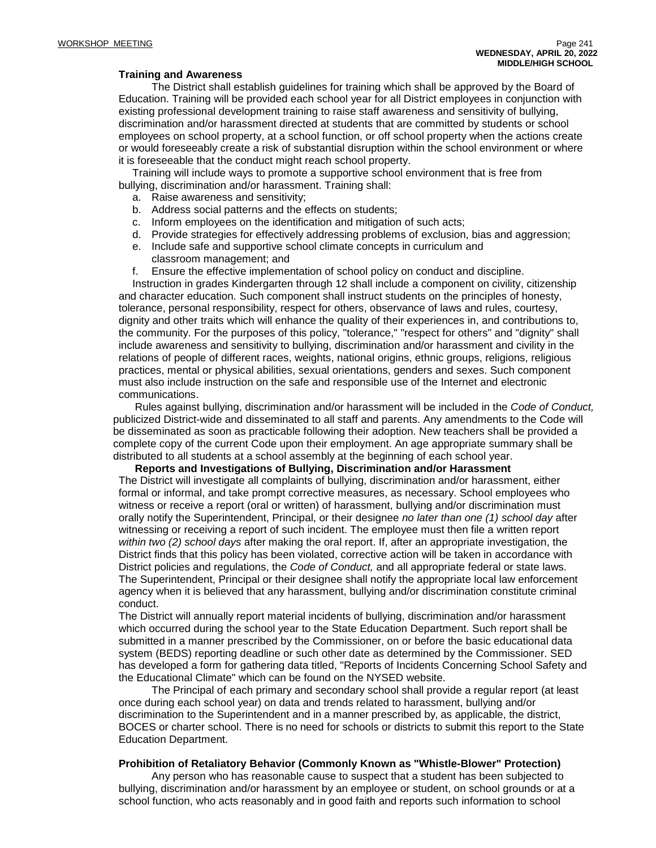#### **Training and Awareness**

The District shall establish guidelines for training which shall be approved by the Board of Education. Training will be provided each school year for all District employees in conjunction with existing professional development training to raise staff awareness and sensitivity of bullying, discrimination and/or harassment directed at students that are committed by students or school employees on school property, at a school function, or off school property when the actions create or would foreseeably create a risk of substantial disruption within the school environment or where it is foreseeable that the conduct might reach school property.

Training will include ways to promote a supportive school environment that is free from bullying, discrimination and/or harassment. Training shall:

- a. Raise awareness and sensitivity;
- b. Address social patterns and the effects on students;
- c. Inform employees on the identification and mitigation of such acts;
- d. Provide strategies for effectively addressing problems of exclusion, bias and aggression;
- e. Include safe and supportive school climate concepts in curriculum and classroom management; and
- f. Ensure the effective implementation of school policy on conduct and discipline.

Instruction in grades Kindergarten through 12 shall include a component on civility, citizenship and character education. Such component shall instruct students on the principles of honesty, tolerance, personal responsibility, respect for others, observance of laws and rules, courtesy, dignity and other traits which will enhance the quality of their experiences in, and contributions to, the community. For the purposes of this policy, "tolerance," "respect for others" and "dignity" shall include awareness and sensitivity to bullying, discrimination and/or harassment and civility in the relations of people of different races, weights, national origins, ethnic groups, religions, religious practices, mental or physical abilities, sexual orientations, genders and sexes. Such component must also include instruction on the safe and responsible use of the Internet and electronic communications.

Rules against bullying, discrimination and/or harassment will be included in the *Code of Conduct,* publicized District-wide and disseminated to all staff and parents. Any amendments to the Code will be disseminated as soon as practicable following their adoption. New teachers shall be provided a complete copy of the current Code upon their employment. An age appropriate summary shall be distributed to all students at a school assembly at the beginning of each school year.

**Reports and Investigations of Bullying, Discrimination and/or Harassment**

The District will investigate all complaints of bullying, discrimination and/or harassment, either formal or informal, and take prompt corrective measures, as necessary. School employees who witness or receive a report (oral or written) of harassment, bullying and/or discrimination must orally notify the Superintendent, Principal, or their designee *no later than one (1) school day* after witnessing or receiving a report of such incident. The employee must then file a written report *within two (2) school days* after making the oral report. If, after an appropriate investigation, the District finds that this policy has been violated, corrective action will be taken in accordance with District policies and regulations, the *Code of Conduct,* and all appropriate federal or state laws. The Superintendent, Principal or their designee shall notify the appropriate local law enforcement agency when it is believed that any harassment, bullying and/or discrimination constitute criminal conduct.

The District will annually report material incidents of bullying, discrimination and/or harassment which occurred during the school year to the State Education Department. Such report shall be submitted in a manner prescribed by the Commissioner, on or before the basic educational data system (BEDS) reporting deadline or such other date as determined by the Commissioner. SED has developed a form for gathering data titled, "Reports of Incidents Concerning School Safety and the Educational Climate" which can be found on the NYSED website.

The Principal of each primary and secondary school shall provide a regular report (at least once during each school year) on data and trends related to harassment, bullying and/or discrimination to the Superintendent and in a manner prescribed by, as applicable, the district, BOCES or charter school. There is no need for schools or districts to submit this report to the State Education Department.

#### **Prohibition of Retaliatory Behavior (Commonly Known as "Whistle-Blower" Protection)**

Any person who has reasonable cause to suspect that a student has been subjected to bullying, discrimination and/or harassment by an employee or student, on school grounds or at a school function, who acts reasonably and in good faith and reports such information to school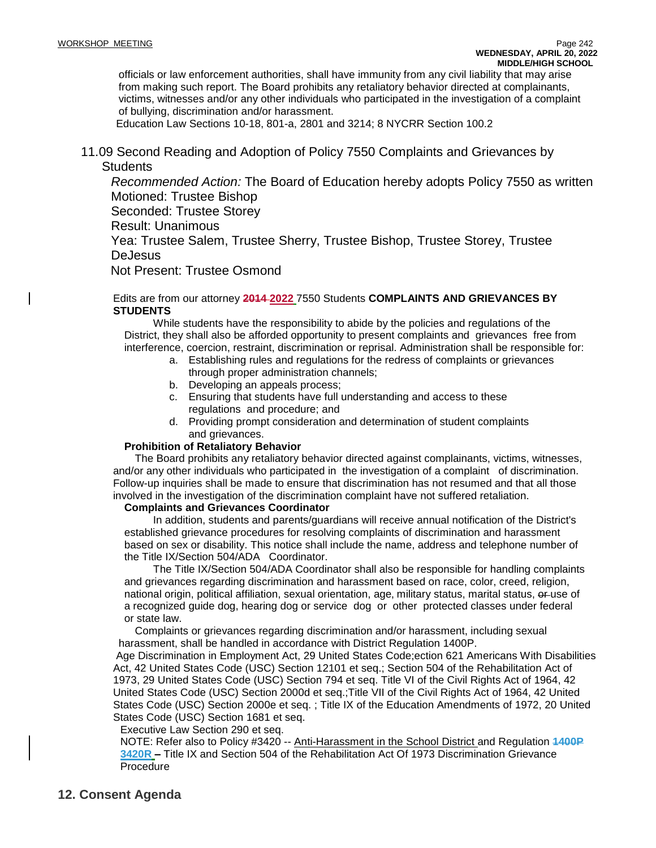officials or law enforcement authorities, shall have immunity from any civil liability that may arise from making such report. The Board prohibits any retaliatory behavior directed at complainants, victims, witnesses and/or any other individuals who participated in the investigation of a complaint of bullying, discrimination and/or harassment.

Education Law Sections 10-18, 801-a, 2801 and 3214; 8 NYCRR Section 100.2

11.09 Second Reading and Adoption of Policy 7550 Complaints and Grievances by **Students** 

*Recommended Action:* The Board of Education hereby adopts Policy 7550 as written Motioned: Trustee Bishop

Seconded: Trustee Storey

Result: Unanimous

Yea: Trustee Salem, Trustee Sherry, Trustee Bishop, Trustee Storey, Trustee DeJesus

Not Present: Trustee Osmond

Edits are from our attorney **2014 2022** 7550 Students **COMPLAINTS AND GRIEVANCES BY STUDENTS**

While students have the responsibility to abide by the policies and regulations of the District, they shall also be afforded opportunity to present complaints and grievances free from interference, coercion, restraint, discrimination or reprisal. Administration shall be responsible for:

- a. Establishing rules and regulations for the redress of complaints or grievances through proper administration channels;
- b. Developing an appeals process;
- c. Ensuring that students have full understanding and access to these regulations and procedure; and
- d. Providing prompt consideration and determination of student complaints and grievances.

### **Prohibition of Retaliatory Behavior**

The Board prohibits any retaliatory behavior directed against complainants, victims, witnesses, and/or any other individuals who participated in the investigation of a complaint of discrimination. Follow-up inquiries shall be made to ensure that discrimination has not resumed and that all those involved in the investigation of the discrimination complaint have not suffered retaliation.

## **Complaints and Grievances Coordinator**

In addition, students and parents/guardians will receive annual notification of the District's established grievance procedures for resolving complaints of discrimination and harassment based on sex or disability. This notice shall include the name, address and telephone number of the Title IX/Section 504/ADA Coordinator.

The Title IX/Section 504/ADA Coordinator shall also be responsible for handling complaints and grievances regarding discrimination and harassment based on race, color, creed, religion, national origin, political affiliation, sexual orientation, age, military status, marital status, or use of a recognized guide dog, hearing dog or service dog or other protected classes under federal or state law.

Complaints or grievances regarding discrimination and/or harassment, including sexual harassment, shall be handled in accordance with District Regulation 1400P.

Age Discrimination in Employment Act, 29 United States Code;ection 621 Americans With Disabilities Act, 42 United States Code (USC) Section 12101 et seq.; Section 504 of the Rehabilitation Act of 1973, 29 United States Code (USC) Section 794 et seq. Title VI of the Civil Rights Act of 1964, 42 United States Code (USC) Section 2000d et seq.;Title VII of the Civil Rights Act of 1964, 42 United States Code (USC) Section 2000e et seq. ; Title IX of the Education Amendments of 1972, 20 United States Code (USC) Section 1681 et seq.

Executive Law Section 290 et seq.

NOTE: Refer also to Policy #3420 -- Anti-Harassment in the School District and Regulation **1400P 3420R –** Title IX and Section 504 of the Rehabilitation Act Of 1973 Discrimination Grievance Procedure

# **12. Consent Agenda**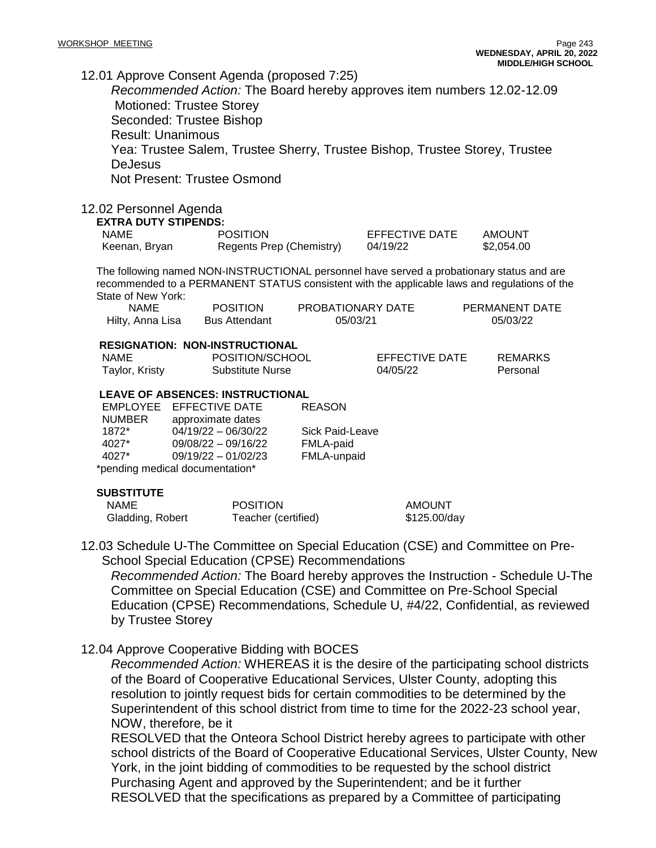12.01 Approve Consent Agenda (proposed 7:25)

*Recommended Action:* The Board hereby approves item numbers 12.02-12.09 Motioned: Trustee Storey Seconded: Trustee Bishop Result: Unanimous Yea: Trustee Salem, Trustee Sherry, Trustee Bishop, Trustee Storey, Trustee **DeJesus** Not Present: Trustee Osmond

## 12.02 Personnel Agenda

**EXTRA DUTY STIPENDS:**

| <b>NAME</b>   | <b>POSITION</b>          | EFFECTIVE DATE | AMOUNT     |  |  |
|---------------|--------------------------|----------------|------------|--|--|
| Keenan, Bryan | Regents Prep (Chemistry) | 04/19/22       | \$2,054.00 |  |  |

The following named NON-INSTRUCTIONAL personnel have served a probationary status and are recommended to a PERMANENT STATUS consistent with the applicable laws and regulations of the State of New York:

| <b>NAME</b>      | <b>POSITION</b>      | PROBATIONARY DATE | PERMANENT DATE |
|------------------|----------------------|-------------------|----------------|
| Hilty, Anna Lisa | <b>Bus Attendant</b> | 05/03/21          | 05/03/22       |

#### **RESIGNATION: NON-INSTRUCTIONAL**

| NAME           | POSITION/SCHOOL  | EFFECTIVE DATE | REMARKS  |
|----------------|------------------|----------------|----------|
| Taylor, Kristy | Substitute Nurse | 04/05/22       | Personal |

REASON

### **LEAVE OF ABSENCES: INSTRUCTIONAL**

EMPLOYEE EFFECTIVE DATE NUMBER approximate dates 1872\* 04/19/22 – 06/30/22 Sick Paid-Leave 4027\* 09/08/22 – 09/16/22 FMLA-paid 09/19/22 – 01/02/23 FMLA-unpaid \*pending medical documentation\*

### **SUBSTITUTE**

| NAME             | <b>POSITION</b>     | AMOUNT       |
|------------------|---------------------|--------------|
| Gladding, Robert | Teacher (certified) | \$125.00/day |

12.03 Schedule U-The Committee on Special Education (CSE) and Committee on Pre-School Special Education (CPSE) Recommendations

*Recommended Action:* The Board hereby approves the Instruction - Schedule U-The Committee on Special Education (CSE) and Committee on Pre-School Special Education (CPSE) Recommendations, Schedule U, #4/22, Confidential, as reviewed by Trustee Storey

12.04 Approve Cooperative Bidding with BOCES

*Recommended Action:* WHEREAS it is the desire of the participating school districts of the Board of Cooperative Educational Services, Ulster County, adopting this resolution to jointly request bids for certain commodities to be determined by the Superintendent of this school district from time to time for the 2022-23 school year, NOW, therefore, be it

RESOLVED that the Onteora School District hereby agrees to participate with other school districts of the Board of Cooperative Educational Services, Ulster County, New York, in the joint bidding of commodities to be requested by the school district Purchasing Agent and approved by the Superintendent; and be it further RESOLVED that the specifications as prepared by a Committee of participating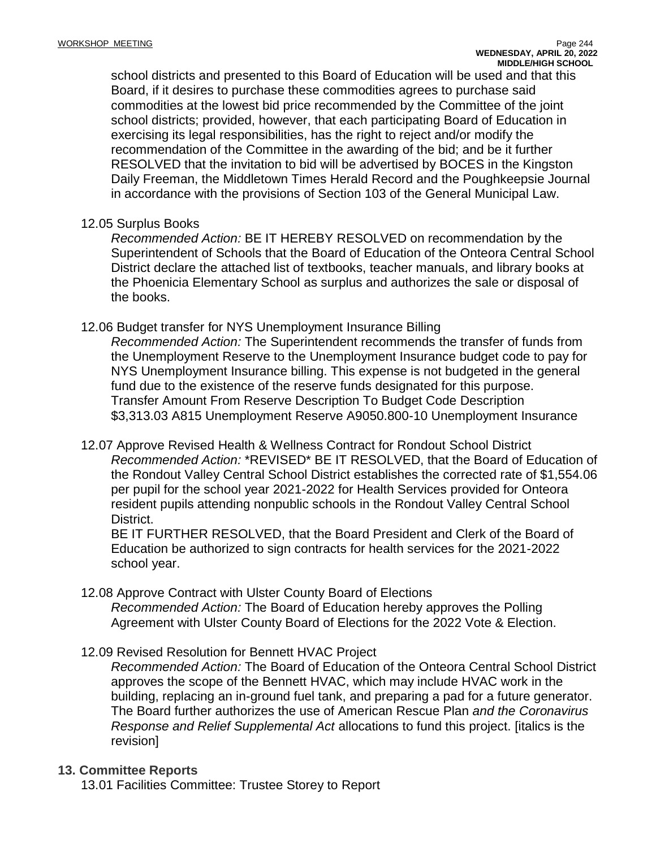school districts and presented to this Board of Education will be used and that this Board, if it desires to purchase these commodities agrees to purchase said commodities at the lowest bid price recommended by the Committee of the joint school districts; provided, however, that each participating Board of Education in exercising its legal responsibilities, has the right to reject and/or modify the recommendation of the Committee in the awarding of the bid; and be it further RESOLVED that the invitation to bid will be advertised by BOCES in the Kingston Daily Freeman, the Middletown Times Herald Record and the Poughkeepsie Journal in accordance with the provisions of Section 103 of the General Municipal Law.

## 12.05 Surplus Books

*Recommended Action:* BE IT HEREBY RESOLVED on recommendation by the Superintendent of Schools that the Board of Education of the Onteora Central School District declare the attached list of textbooks, teacher manuals, and library books at the Phoenicia Elementary School as surplus and authorizes the sale or disposal of the books.

## 12.06 Budget transfer for NYS Unemployment Insurance Billing

*Recommended Action:* The Superintendent recommends the transfer of funds from the Unemployment Reserve to the Unemployment Insurance budget code to pay for NYS Unemployment Insurance billing. This expense is not budgeted in the general fund due to the existence of the reserve funds designated for this purpose. Transfer Amount From Reserve Description To Budget Code Description \$3,313.03 A815 Unemployment Reserve A9050.800-10 Unemployment Insurance

12.07 Approve Revised Health & Wellness Contract for Rondout School District *Recommended Action:* \*REVISED\* BE IT RESOLVED, that the Board of Education of the Rondout Valley Central School District establishes the corrected rate of \$1,554.06 per pupil for the school year 2021-2022 for Health Services provided for Onteora resident pupils attending nonpublic schools in the Rondout Valley Central School District.

BE IT FURTHER RESOLVED, that the Board President and Clerk of the Board of Education be authorized to sign contracts for health services for the 2021-2022 school year.

## 12.08 Approve Contract with Ulster County Board of Elections

*Recommended Action:* The Board of Education hereby approves the Polling Agreement with Ulster County Board of Elections for the 2022 Vote & Election.

12.09 Revised Resolution for Bennett HVAC Project

*Recommended Action:* The Board of Education of the Onteora Central School District approves the scope of the Bennett HVAC, which may include HVAC work in the building, replacing an in-ground fuel tank, and preparing a pad for a future generator. The Board further authorizes the use of American Rescue Plan *and the Coronavirus Response and Relief Supplemental Act* allocations to fund this project. [italics is the revision]

## **13. Committee Reports**

13.01 Facilities Committee: Trustee Storey to Report